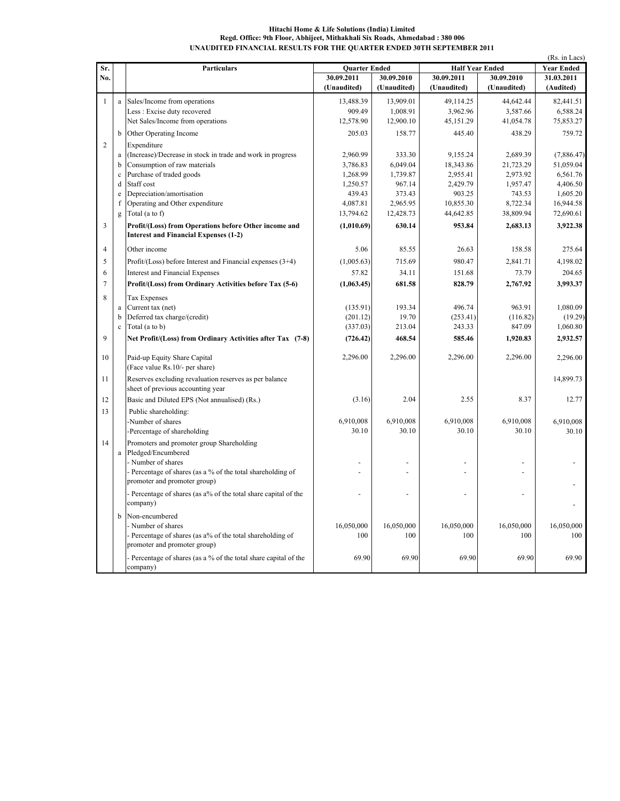## Hitachi Home & Life Solutions (India) Limited Regd. Office: 9th Floor, Abhijeet, Mithakhali Six Roads, Ahmedabad : 380 006 UNAUDITED FINANCIAL RESULTS FOR THE QUARTER ENDED 30TH SEPTEMBER 2011

| Sr.            |             |                                                                 |                      |                 |                        |             |                   |
|----------------|-------------|-----------------------------------------------------------------|----------------------|-----------------|------------------------|-------------|-------------------|
|                |             | <b>Particulars</b>                                              | <b>Ouarter Ended</b> |                 | <b>Half Year Ended</b> |             | <b>Year Ended</b> |
| No.            |             |                                                                 | 30.09.2011           | 30.09.2010      | 30.09.2011             | 30.09.2010  | 31.03.2011        |
|                |             |                                                                 | (Unaudited)          | (Unaudited)     | (Unaudited)            | (Unaudited) | (Audited)         |
| $\mathbf{1}$   |             | a Sales/Income from operations                                  | 13,488.39            | 13,909.01       | 49,114.25              | 44,642.44   | 82,441.51         |
|                |             | Less: Excise duty recovered                                     | 909.49               | 1,008.91        | 3,962.96               | 3,587.66    | 6,588.24          |
|                |             | Net Sales/Income from operations                                | 12,578.90            | 12,900.10       | 45,151.29              | 41,054.78   | 75,853.27         |
|                |             |                                                                 |                      |                 |                        |             |                   |
|                | b           | Other Operating Income                                          | 205.03               | 158.77          | 445.40                 | 438.29      | 759.72            |
| $\overline{c}$ |             | Expenditure                                                     |                      |                 |                        |             |                   |
|                |             | a (Increase)/Decrease in stock in trade and work in progress    | 2,960.99             | 333.30          | 9,155.24               | 2,689.39    | (7,886.47)        |
|                | b           | Consumption of raw materials                                    | 3,786.83             | 6,049.04        | 18,343.86              | 21,723.29   | 51,059.04         |
|                | $\mathbf c$ | Purchase of traded goods                                        | 1,268.99             | 1,739.87        | 2,955.41               | 2,973.92    | 6,561.76          |
|                | d           | Staff cost                                                      | 1,250.57             | 967.14          | 2,429.79               | 1,957.47    | 4,406.50          |
|                | $\rm e$     | Depreciation/amortisation                                       | 439.43               | 373.43          | 903.25                 | 743.53      | 1,605.20          |
|                | f           | Operating and Other expenditure                                 | 4,087.81             | 2,965.95        | 10,855.30              | 8,722.34    | 16,944.58         |
|                | g           | Total (a to f)                                                  | 13,794.62            | 12,428.73       | 44,642.85              | 38,809.94   | 72,690.61         |
| $\overline{3}$ |             | Profit/(Loss) from Operations before Other income and           | (1,010.69)           | 630.14          | 953.84                 | 2.683.13    | 3,922.38          |
|                |             | <b>Interest and Financial Expenses (1-2)</b>                    |                      |                 |                        |             |                   |
|                |             |                                                                 |                      |                 |                        |             |                   |
| $\overline{4}$ |             | Other income                                                    | 5.06                 | 85.55           | 26.63                  | 158.58      | 275.64            |
| 5              |             | Profit/(Loss) before Interest and Financial expenses $(3+4)$    | (1,005.63)           | 715.69          | 980.47                 | 2,841.71    | 4,198.02          |
| 6              |             | <b>Interest and Financial Expenses</b>                          | 57.82                | 34.11           | 151.68                 | 73.79       | 204.65            |
| $\overline{7}$ |             | Profit/(Loss) from Ordinary Activities before Tax (5-6)         | (1,063.45)           | 681.58          | 828.79                 | 2,767.92    | 3,993.37          |
| 8              |             |                                                                 |                      |                 |                        |             |                   |
|                |             | Tax Expenses                                                    |                      |                 | 496.74                 | 963.91      | 1,080.09          |
|                |             | a Current tax $(net)$                                           | (135.91)<br>(201.12) | 193.34<br>19.70 | (253.41)               | (116.82)    |                   |
|                | b           | Deferred tax charge/(credit)                                    |                      |                 |                        |             | (19.29)           |
|                | $\mathbf c$ | Total (a to b)                                                  | (337.03)             | 213.04          | 243.33                 | 847.09      | 1,060.80          |
| $\mathbf{Q}$   |             | Net Profit/(Loss) from Ordinary Activities after Tax (7-8)      | (726.42)             | 468.54          | 585.46                 | 1,920.83    | 2,932.57          |
|                |             |                                                                 |                      |                 |                        |             |                   |
| 10             |             | Paid-up Equity Share Capital                                    | 2,296.00             | 2,296.00        | 2,296.00               | 2,296.00    | 2,296.00          |
|                |             | (Face value Rs.10/- per share)                                  |                      |                 |                        |             |                   |
| 11             |             | Reserves excluding revaluation reserves as per balance          |                      |                 |                        |             | 14,899.73         |
|                |             | sheet of previous accounting year                               |                      |                 |                        |             |                   |
| 12             |             | Basic and Diluted EPS (Not annualised) (Rs.)                    | (3.16)               | 2.04            | 2.55                   | 8.37        | 12.77             |
| 13             |             | Public shareholding:                                            |                      |                 |                        |             |                   |
|                |             | -Number of shares                                               | 6,910,008            | 6,910,008       | 6,910,008              | 6,910,008   | 6,910,008         |
|                |             | -Percentage of shareholding                                     | 30.10                | 30.10           | 30.10                  | 30.10       | 30.10             |
| 14             |             | Promoters and promoter group Shareholding                       |                      |                 |                        |             |                   |
|                |             | a Pledged/Encumbered                                            |                      |                 |                        |             |                   |
|                |             | - Number of shares                                              |                      |                 |                        |             |                   |
|                |             | - Percentage of shares (as a % of the total shareholding of     |                      |                 |                        |             |                   |
|                |             | promoter and promoter group)                                    |                      |                 |                        |             |                   |
|                |             |                                                                 |                      |                 |                        |             |                   |
|                |             | - Percentage of shares (as a% of the total share capital of the |                      | ÷,              |                        |             |                   |
|                |             | company)                                                        |                      |                 |                        |             |                   |
|                |             | b Non-encumbered                                                |                      |                 |                        |             |                   |
|                |             | - Number of shares                                              | 16.050.000           | 16,050,000      | 16,050,000             | 16,050,000  | 16,050,000        |
|                |             | - Percentage of shares (as a% of the total shareholding of      | 100                  | 100             | 100                    | 100         | 100               |
|                |             | promoter and promoter group)                                    |                      |                 |                        |             |                   |
|                |             | Percentage of shares (as a % of the total share capital of the  | 69.90                | 69.90           | 69.90                  | 69.90       | 69.90             |
|                |             | company)                                                        |                      |                 |                        |             |                   |